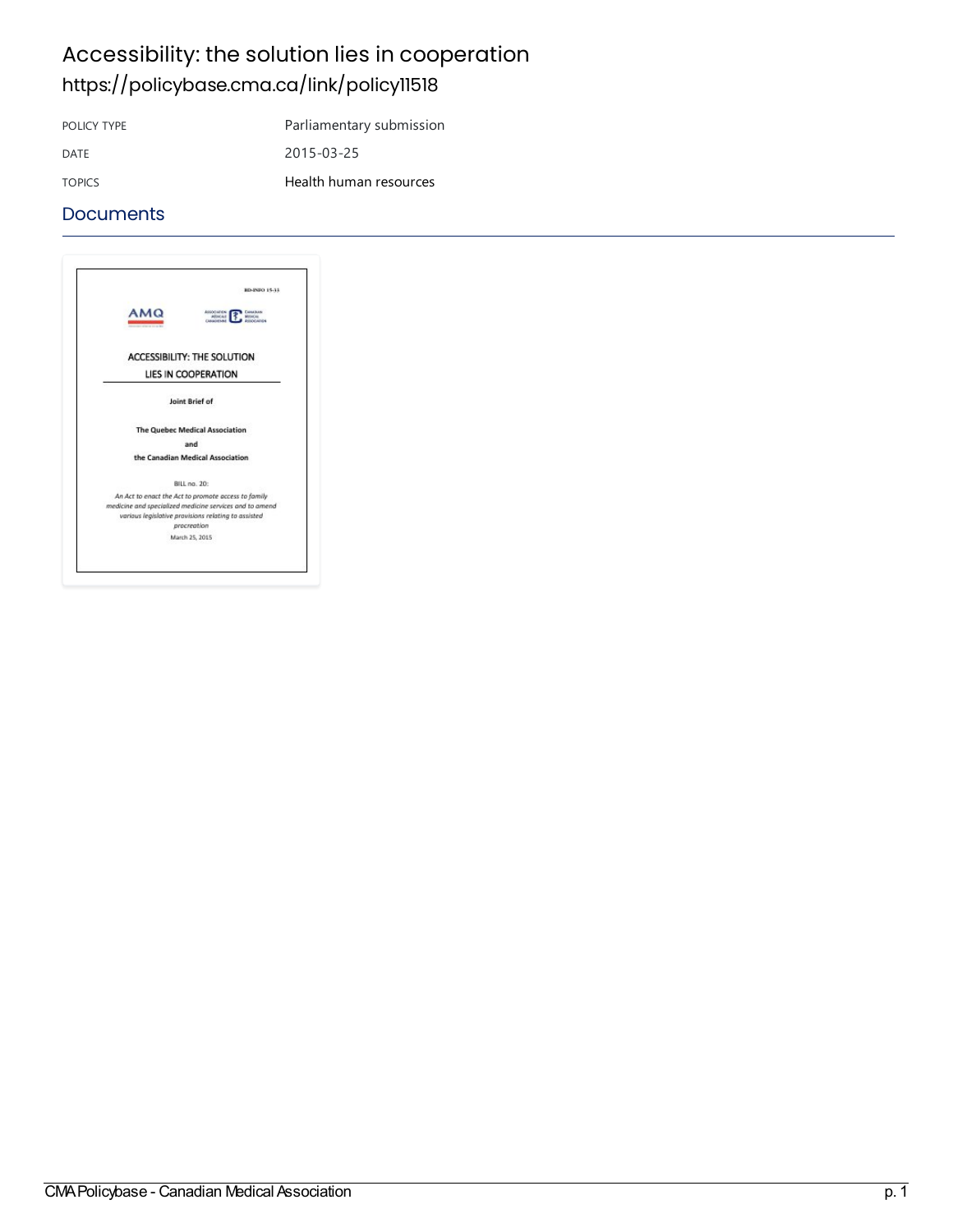### Accessibility: the solution lies in cooperation <https://policybase.cma.ca/link/policy11518>

POLICY TYPE Parliamentary submission

DATE 2015-03-25

TOPICS Health human [resources](https://policybase.cma.ca/list?q=topic%253A%2522Health%20human%20resources%2522&p=1&ps=&sort=title_sort%20asc)

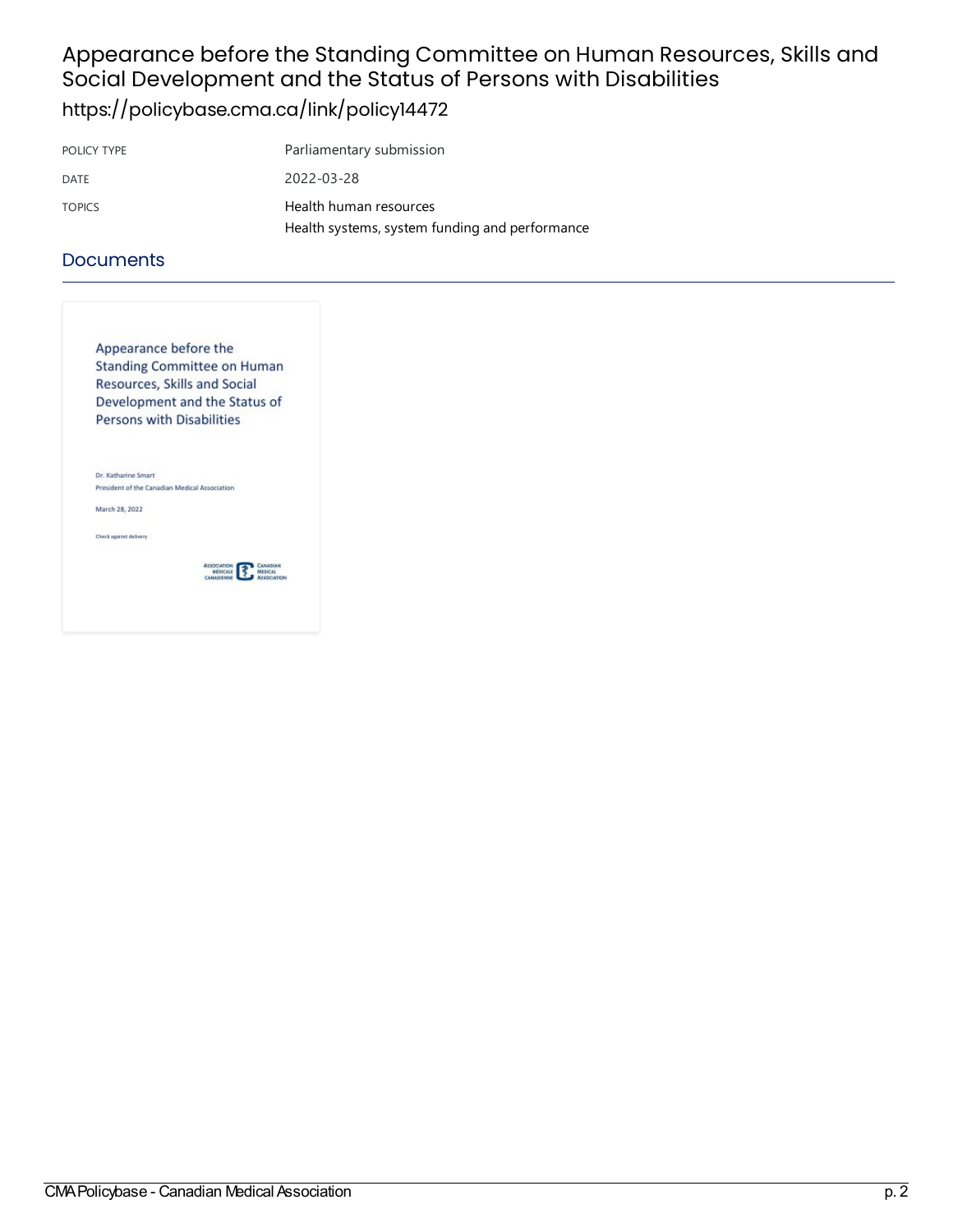# Appearance before the Standing Committee on Human Resources, Skills and Social Development and the Status of Persons with Disabilities

<https://policybase.cma.ca/link/policy14472>

| POLICY TYPE   | Parliamentary submission                       |
|---------------|------------------------------------------------|
| DATE          | 2022-03-28                                     |
| <b>TOPICS</b> | Health human resources                         |
|               | Health systems, system funding and performance |

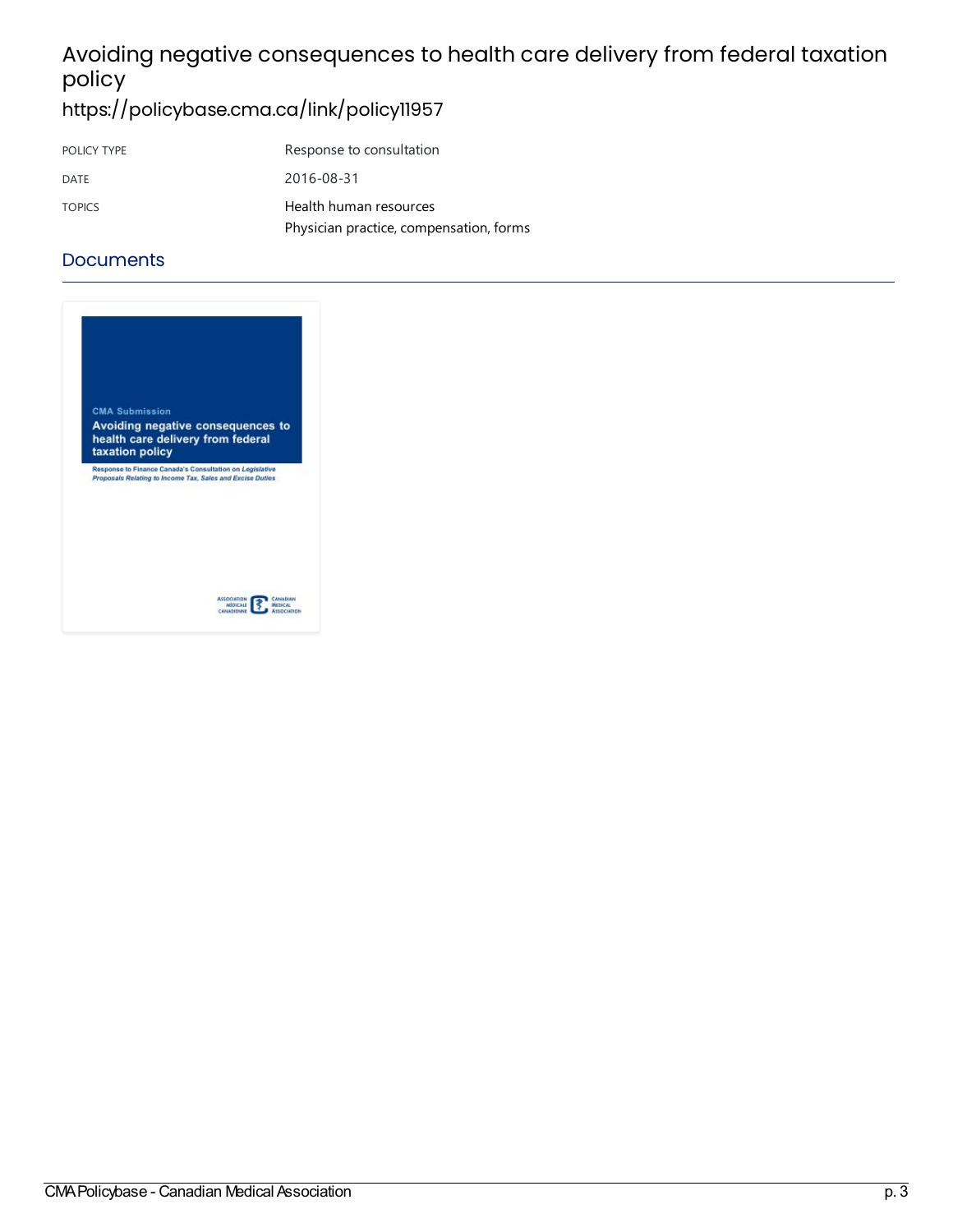# Avoiding negative consequences to health care delivery from federal taxation policy

<https://policybase.cma.ca/link/policy11957>

| POLICY TYPE   | Response to consultation                |
|---------------|-----------------------------------------|
| DATE          | 2016-08-31                              |
| <b>TOPICS</b> | Health human resources                  |
|               | Physician practice, compensation, forms |

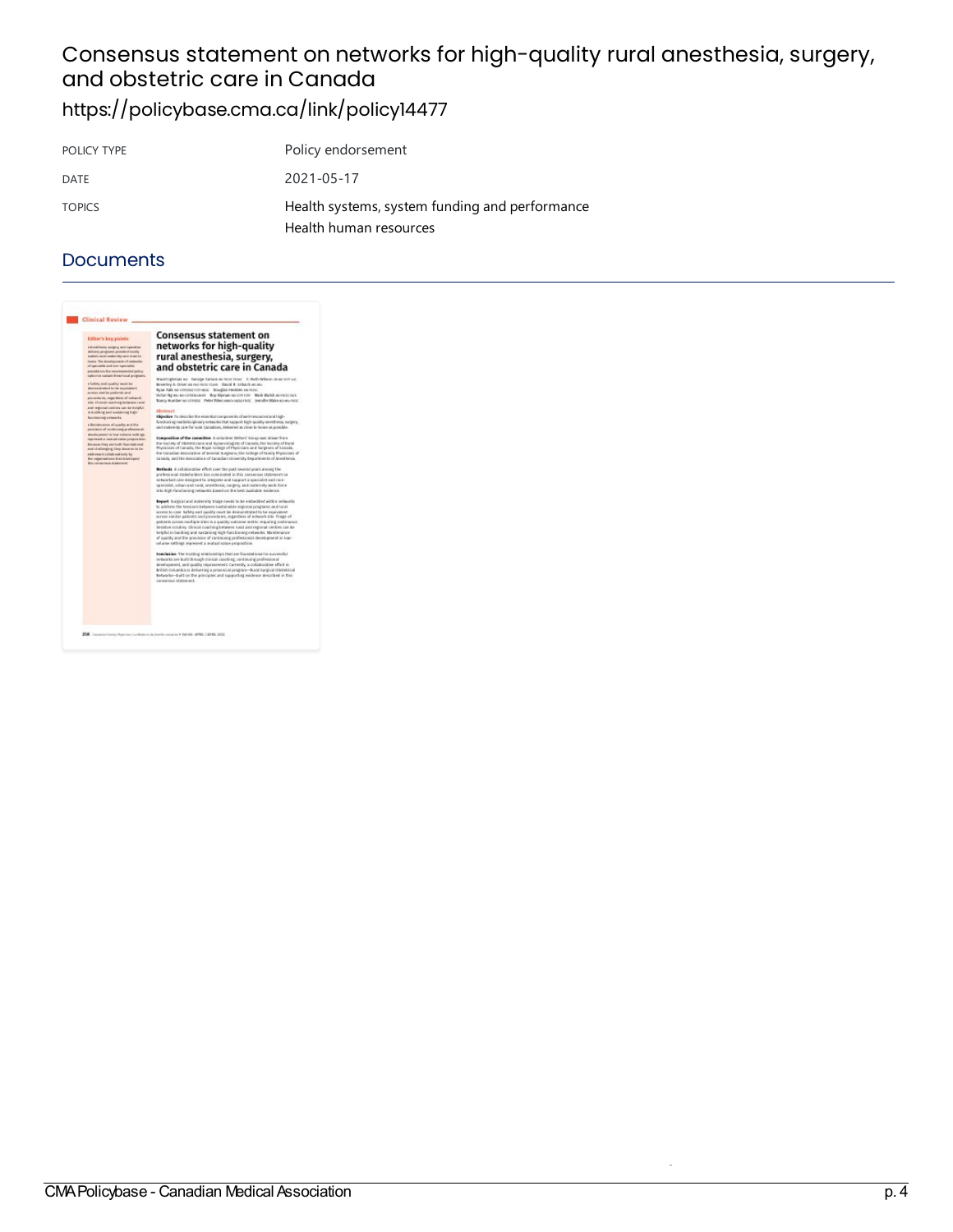### Consensus statement on networks for high-quality rural anesthesia, surgery, and obstetric care in Canada <https://policybase.cma.ca/link/policy14477>

| POLICY TYPE   | Policy endorsement                                                       |
|---------------|--------------------------------------------------------------------------|
| DATE          | 2021-05-17                                                               |
| <b>TOPICS</b> | Health systems, system funding and performance<br>Health human resources |

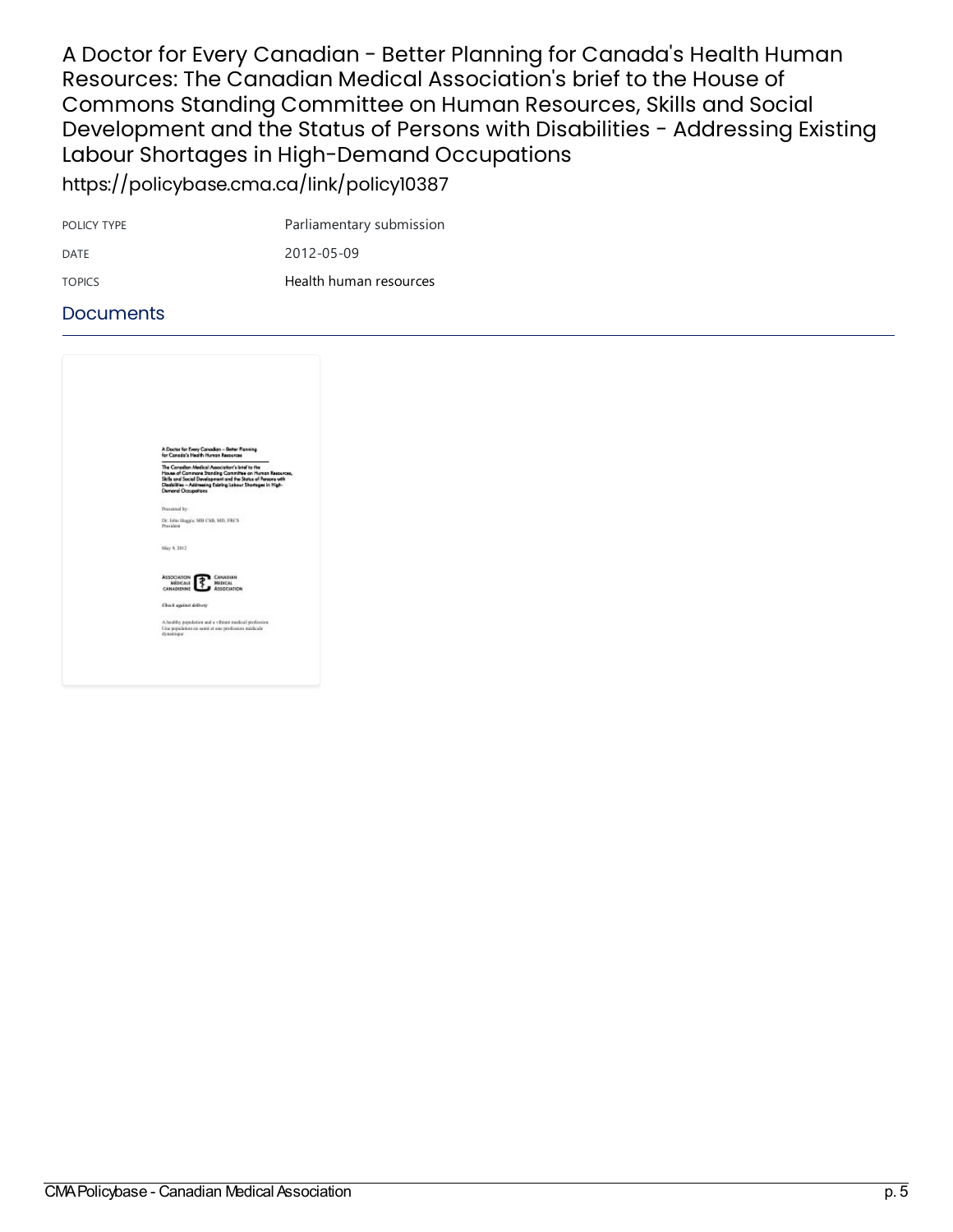A Doctor for Every Canadian - Better Planning for Canada's Health Human Resources: The Canadian Medical Association's brief to the House of Commons Standing Committee on Human Resources, Skills and Social Development and the Status of Persons with Disabilities - Addressing Existing Labour Shortages in High-Demand Occupations <https://policybase.cma.ca/link/policy10387>

| POLICY TYPE   | Parliamentary submission |
|---------------|--------------------------|
| DATE          | 2012-05-09               |
| <b>TOPICS</b> | Health human resources   |

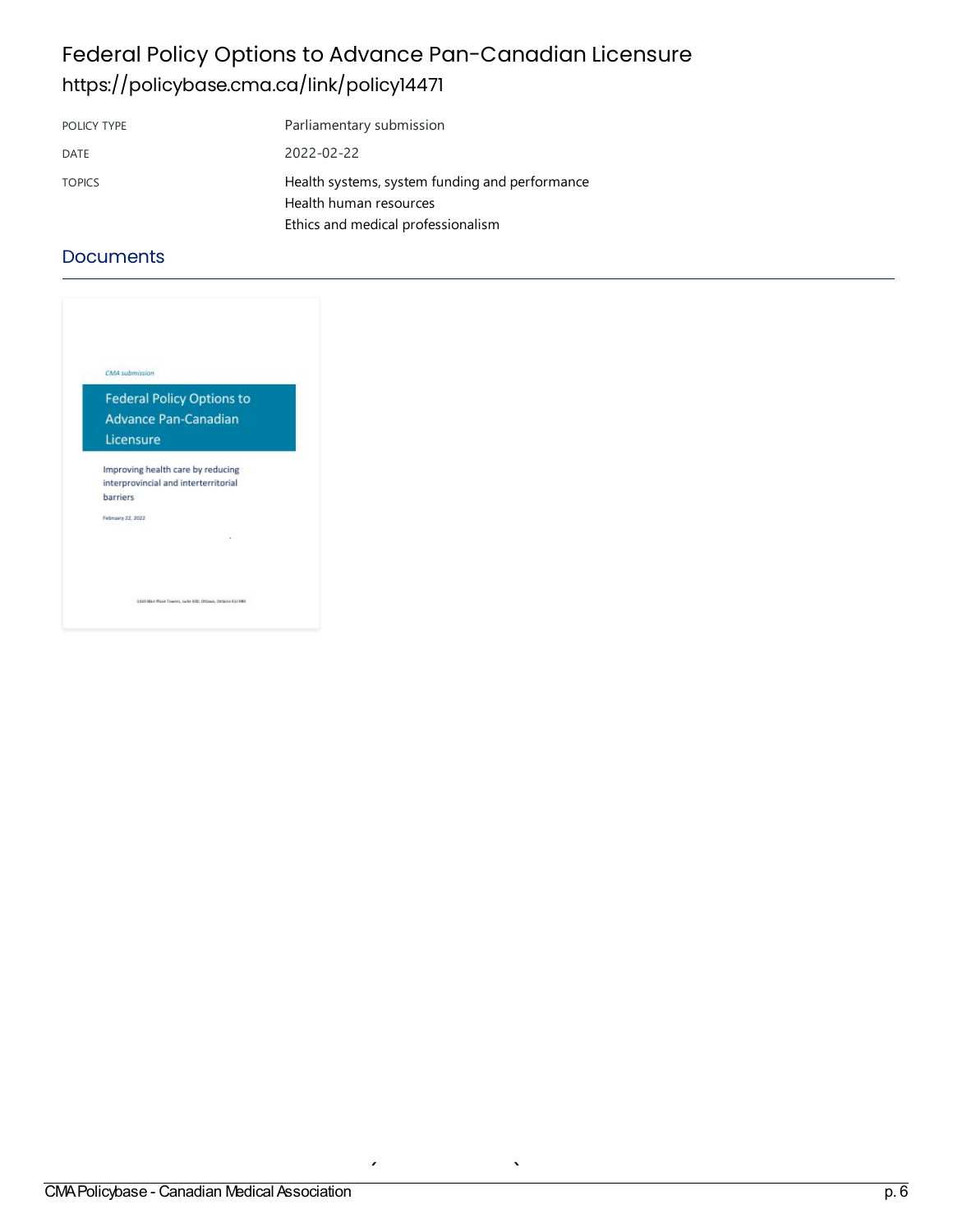## Federal Policy Options to Advance Pan-Canadian Licensure <https://policybase.cma.ca/link/policy14471>

| POLICY TYPE   | Parliamentary submission                                                                                       |
|---------------|----------------------------------------------------------------------------------------------------------------|
| DATE          | 2022-02-22                                                                                                     |
| <b>TOPICS</b> | Health systems, system funding and performance<br>Health human resources<br>Ethics and medical professionalism |

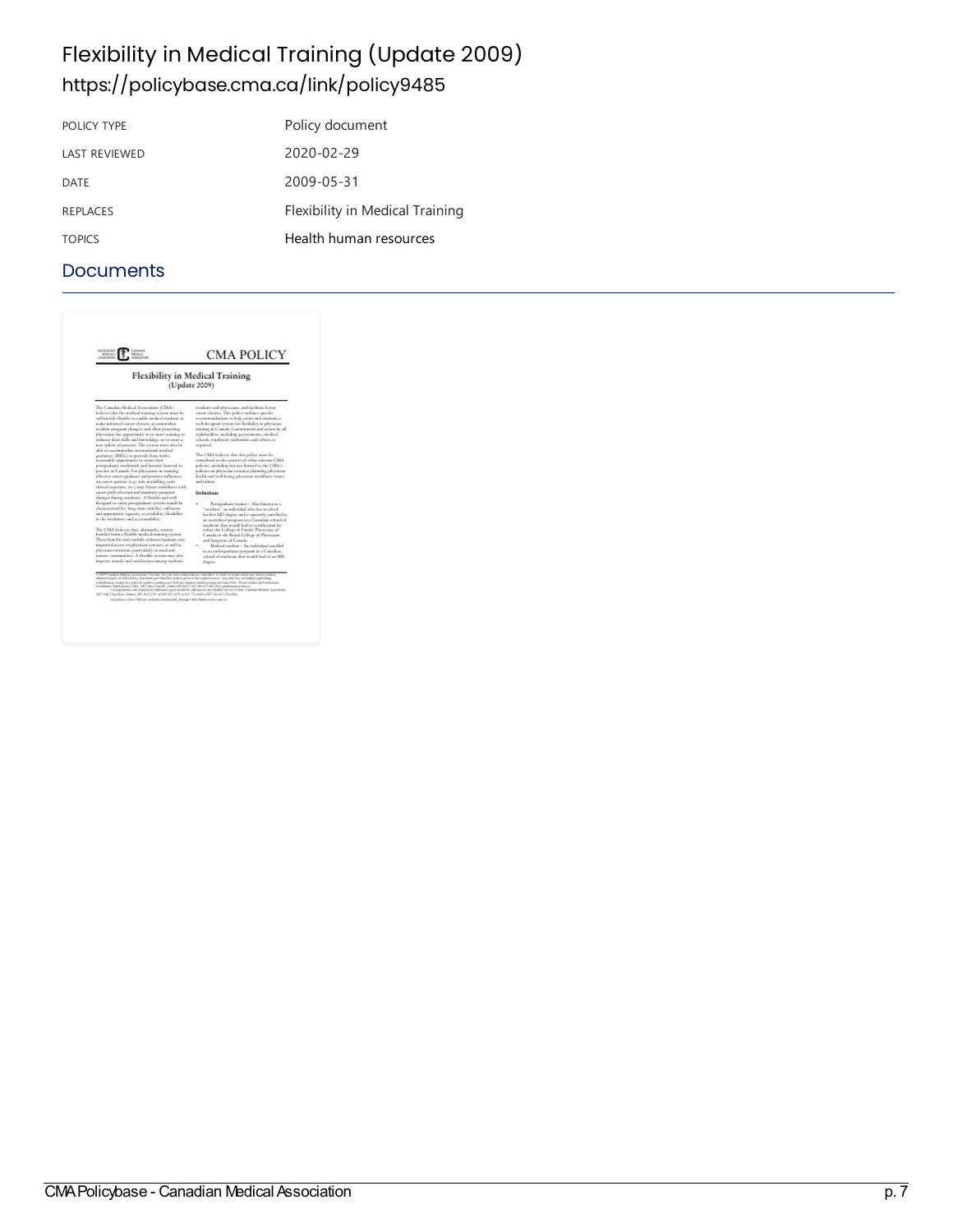### Flexibility in Medical Training (Update 2009) <https://policybase.cma.ca/link/policy9485>

| POLICY TYPE          | Policy document                 |
|----------------------|---------------------------------|
| <b>LAST REVIEWED</b> | 2020-02-29                      |
| DATE                 | 2009-05-31                      |
| <b>REPLACES</b>      | Flexibility in Medical Training |
| <b>TOPICS</b>        | Health human resources          |

| <b>NEW H.E.</b><br><b>Alliances</b><br><b>CENTENE</b><br><b>NONCAPTER</b>                                                                                                                                                                                                                                                                                                                                                                                                                                                                                                                                                                                                                                                                                                                                                                                                                                                                                                                                                                                                                                                                                                                                                                                                                                                                                                                                                                                                                                      | <b>CMA POLICY</b>                                                                                                                                                                                                                                                                                                                                                                                                                                                                                                                                                                                                                                                                                                                                                                                                                                                                                                                                                                                                                                                                                                                                                                                          |
|----------------------------------------------------------------------------------------------------------------------------------------------------------------------------------------------------------------------------------------------------------------------------------------------------------------------------------------------------------------------------------------------------------------------------------------------------------------------------------------------------------------------------------------------------------------------------------------------------------------------------------------------------------------------------------------------------------------------------------------------------------------------------------------------------------------------------------------------------------------------------------------------------------------------------------------------------------------------------------------------------------------------------------------------------------------------------------------------------------------------------------------------------------------------------------------------------------------------------------------------------------------------------------------------------------------------------------------------------------------------------------------------------------------------------------------------------------------------------------------------------------------|------------------------------------------------------------------------------------------------------------------------------------------------------------------------------------------------------------------------------------------------------------------------------------------------------------------------------------------------------------------------------------------------------------------------------------------------------------------------------------------------------------------------------------------------------------------------------------------------------------------------------------------------------------------------------------------------------------------------------------------------------------------------------------------------------------------------------------------------------------------------------------------------------------------------------------------------------------------------------------------------------------------------------------------------------------------------------------------------------------------------------------------------------------------------------------------------------------|
| <b>Flexibility in Medical Training</b><br>(Update 2009)                                                                                                                                                                                                                                                                                                                                                                                                                                                                                                                                                                                                                                                                                                                                                                                                                                                                                                                                                                                                                                                                                                                                                                                                                                                                                                                                                                                                                                                        |                                                                                                                                                                                                                                                                                                                                                                                                                                                                                                                                                                                                                                                                                                                                                                                                                                                                                                                                                                                                                                                                                                                                                                                                            |
| The Consider Medical Association (CMA)<br>lectorers that the maximal training restors must be<br>officiently flexible to malde neglical students to<br>make informed career durings, accommodate<br>resuless program cleanges, and allow pructiong<br>pleasant the appartment to re-erast training to:<br>reductor share shally and lonors ledge, or to contenu-<br>were sphere of process. The restern must also be-<br>able to access machine interestional media of<br>estabantes. (DISGs) to provide them with a<br>resourced to copperison by to a many them.<br>pastgraduate confensials and lascome liasmoad to<br>purior in Grazila. For physicians in searing,<br>effective nature gaidante and prestive inflammer<br>na canter spituous (e.g., sole anadeling, saxly<br>element experience, etc.) must finitely confidence with<br>career pack offertions and managers program<br>changes during residency. A flexible and well-<br>distigued re-entry pertexcibers system would be<br>duranteed by long-term stability, rulliance<br>and appropriate capacity, accessibility, thrashibity<br>in the weaklessy and accountabless.<br>The CMA believes that, abientiely, society<br>kendes from a firsible medical training certain.<br>These lonelits may include reluxural prices can,<br>improved access to pleywisan zervices, as well as<br>plematon retention, particularly in word and<br>remate construction. A flexible system may also<br>imprime teamly and satisfaction ansiety condents. | revisions and physicians, and facilitate lecture<br>career chairces. This policy on finest typically<br>recommendations to help create and maintainsa<br>in B-derigord system for thrability in physician<br>teaming an Canada. Commitment and action by all<br>trakelseldert, including generosensets, medical<br>talonids, rogalistory authorities and eifure, in<br>registed.<br>The CMA helieves that this police must be<br>considered in the context of when relevant CMA.<br>policies, including less not learned to the CMA's<br>palaies on physician resource planning, physician<br>inakle and well-looks, playained world area issues.<br>and others.<br><b>Defaites</b><br>Pentgrahate trainer-Also known at a<br>"resident," an individual when has acceived<br>his/lor MD degree and is currently suralled in<br>as accessional program in a Canadian sciented of<br>medicine that mostli lead to certification by<br>refore the College of Fundy Pressums at<br>Canada or the Royal College of Physicians<br>and Sunyaway of Canada.<br>Medical maskest - An individual consideri<br>in an undergraduate precesso in a Canadian<br>calined of exclusion that would lead to an MD-<br>deput. |
| antimized aspire of EBA's Policy Nutcentin per side that style is given to the original exercy. Any other was including sopul/initiary<br>solutionists to up to enter a control center of product on participate the security of the control of the Process control the Premium of<br>Combinery Publications Child, 1967 Jahn Vissollei, Onesterlift Call 1976; Ge (11) Oil 2013; permissional amount<br>1487 A.S. Vias Drive, Onerse GM 32312 PVI, within 411-2010 at 423 731-4426 s2607, Ge, 623 234-4644.<br>All painter of the CMA are confulde elementedly through CMA (Indian reconstruction                                                                                                                                                                                                                                                                                                                                                                                                                                                                                                                                                                                                                                                                                                                                                                                                                                                                                                             | ico. Yus nay. Kir yaar aan rummen la siir, argruskuu in siksitt ist in parrumilik usiy farm orisiaaten<br>Curregionämer and requires the culdivisted aspire denied by subretactivis the Manufact Girecan Center. Canadian Mexical Association.                                                                                                                                                                                                                                                                                                                                                                                                                                                                                                                                                                                                                                                                                                                                                                                                                                                                                                                                                             |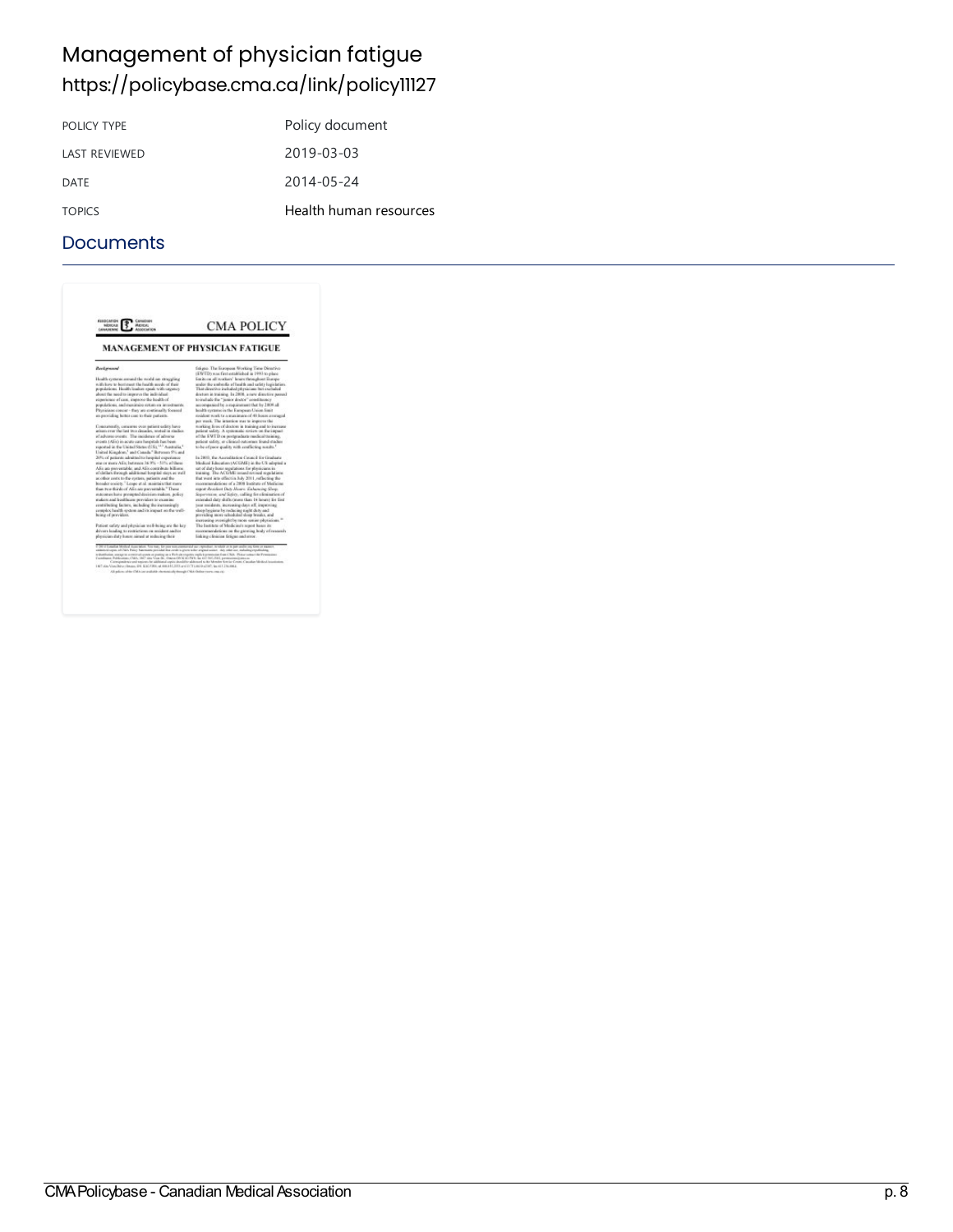## Management of physician fatigue <https://policybase.cma.ca/link/policy11127>

| Policy document        |
|------------------------|
| 2019-03-03             |
| 2014-05-24             |
| Health human resources |
|                        |

| <b>MAANEMAR</b><br>ASSOCIATION                                                                                                                                                                                                                                                                                                                                                                                                                                                                                                                                                                                                                                                                          | <b>MANAGEMENT OF PHYSICIAN FATIGUE</b>                                                                                                                                                                                                                                                                                                                                                                                                                                                                                                |
|---------------------------------------------------------------------------------------------------------------------------------------------------------------------------------------------------------------------------------------------------------------------------------------------------------------------------------------------------------------------------------------------------------------------------------------------------------------------------------------------------------------------------------------------------------------------------------------------------------------------------------------------------------------------------------------------------------|---------------------------------------------------------------------------------------------------------------------------------------------------------------------------------------------------------------------------------------------------------------------------------------------------------------------------------------------------------------------------------------------------------------------------------------------------------------------------------------------------------------------------------------|
| <b>Basicropod</b>                                                                                                                                                                                                                                                                                                                                                                                                                                                                                                                                                                                                                                                                                       | fakeno. The European Working Time Directive                                                                                                                                                                                                                                                                                                                                                                                                                                                                                           |
| Health systems amond the world are struggling<br>with how to best meet the health needs of their<br>populations. Health leaders speak with suggesty<br>about the need to improve the individual<br>experience of case, improve the bealth of<br>sostations, and maximize retors on investments.<br>Phyricians conciet-they are continually formed<br>an providing behis case to their patients.                                                                                                                                                                                                                                                                                                         | (EWTD) was first established in 1993 to elace<br>finals on all resultant' loans throughout Exame-<br>andor the undersite at limith and safety legislation.<br>That directive included physicians but excluded<br>doctors in training. In 2008, a new disortive passed<br>to include the "junior doctor" constituency.<br>accompanied by a requirement that by 2109 all<br>bookly systems in the European Creon final<br>resident work to a maximum of 48 hours averaged.                                                              |
| Constantially, cutumer over patient safety have<br>ariom over the last two decades, reoted in studies.<br>of advancements. The incidence of advance-<br>events (Alis) in acute june haspitals has been<br>reported in the United States (US), "1" Australia."<br>United Kingdom," and Canada," Between 3% and<br>20% of actions admitted to hourstal experience.<br>state or more AEs; between 16.9% - 51% of these<br>Alla are proventable, and Allis contribute billions.                                                                                                                                                                                                                             | per week. The intention was to improve the<br>working lives of doctors in training and to increase<br>patient safety. A systematic review on the impact.<br>of the EWTD on postprachasts rundled thraining.<br>patient suferic or clinical outcomes found studies<br>to be of pace quality with matheting sough."<br>In 2800, the Appreciate or Central for Graduate<br>Medical Education (ACGME) in the US adopted at<br>rat of duty boxs regulations for physicians in                                                              |
| of clothers through additional bourdel stays as well<br>as other costs to the system, patients and the<br>breader onsiets." Leage at al. assistant that move<br>from Fore-florids of Alix are preventable." These<br>statosmus hano presented decision makers, policy<br>makers and booklease previders to manufac-<br>restributing factors, including the increasingly<br>-How will on transact at fast motors diffused asketpanet<br>house of prevident.                                                                                                                                                                                                                                              | training. The ACGME instand revised regulations:<br>flut want iets offset in July 2011, reflecting the<br>recommendations of a 2008 looking of Medicine.<br>report Resident Date Mours: Exhancing Sleep.<br>Sopervision, and Solety, calling for elimination of<br>extended date shifts (more than 16 hours) for first<br>sear residents, increasing days off, inspecting<br>sleep hygiens by reducing sight duty and<br>previding more scheduled sleep breaks, and<br>inercosing oversight by races senior physicians. <sup>10</sup> |
| Patient safety and physician well-being are the key-<br>drivers leading to restrictions on resident and/or<br>phenician duty hours simed at inducing their                                                                                                                                                                                                                                                                                                                                                                                                                                                                                                                                              | The Institute of Medicine's report hance its<br>recommendations on the giorning hody of research-<br>linking clinician firican and stror.                                                                                                                                                                                                                                                                                                                                                                                             |
| 1-26 if Cunadian Modical Association. Tota tract. Ket pain manuscrease and sur-expressions, incidents at in part unable imp times or manner<br>esimeodologias abildo. Palice Karosans presidad dos cendeis gium tello ariginal acese. Aes citarum, indudurgenystiching.<br>eductions, may to create dispose a pating as a Release regists replicit premains from CMA. Please return the Pennissima<br>Combane Publication, CMA, 1827 and Vice 36, One of OCK at PVA, he all first 2014, permeating and as<br>1407 Also Vice-Reno Geogra (EN \$100 FRE) at metablicities of 17 Lening City, Inc (E1 21), rest at<br>All palaces white Chili's any arabitic chemical change Child Online reserve reason's | Cartespondence and regions for additional aspire abundable addressed to the Member fore far Centre. Canadian Medical Academists                                                                                                                                                                                                                                                                                                                                                                                                       |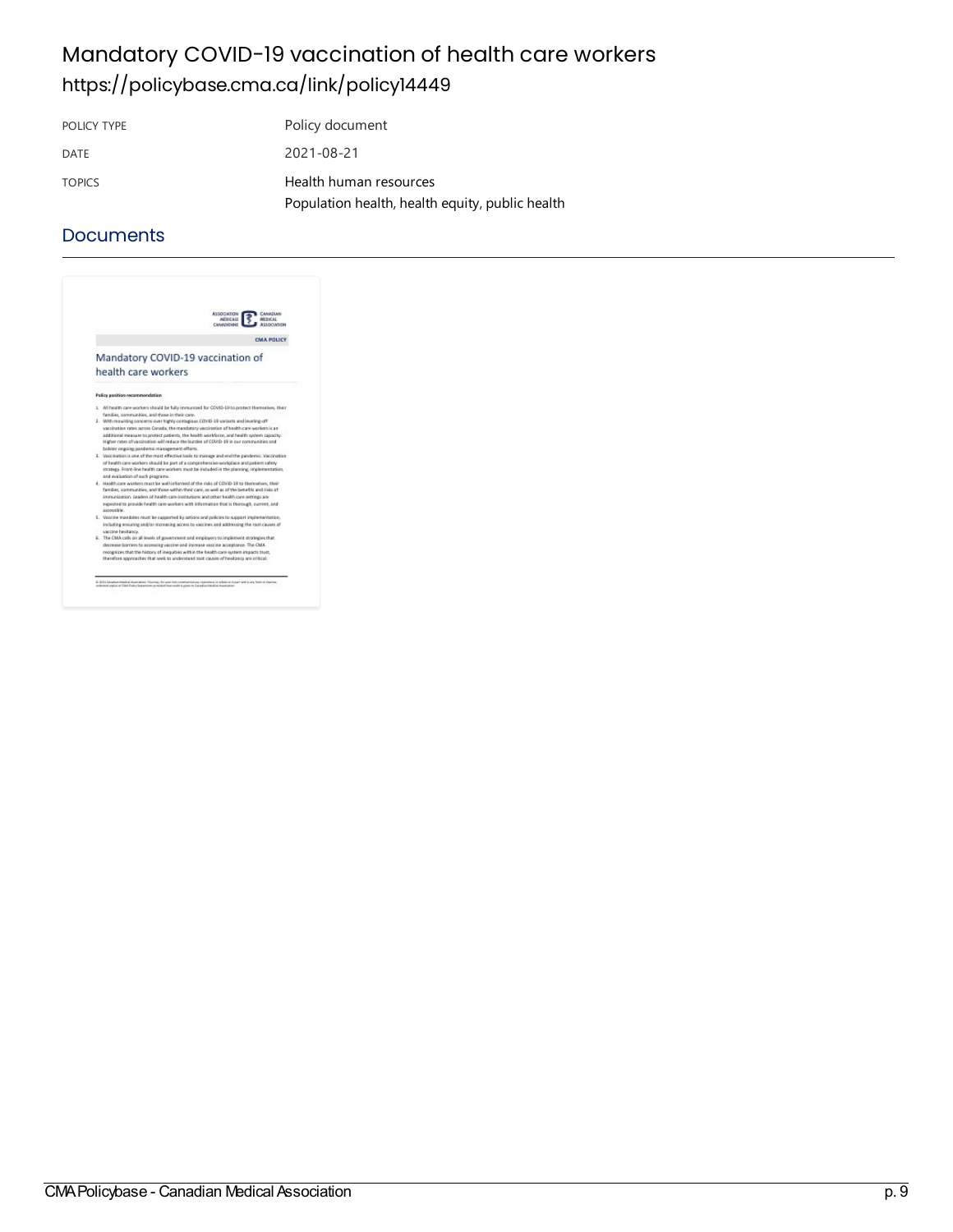### Mandatory COVID-19 vaccination of health care workers <https://policybase.cma.ca/link/policy14449>

POLICY TYPE POLICY TYPE DATE 2021-08-21 TOPICS Health human [resources](https://policybase.cma.ca/list?q=topic%253A%2522Health%20human%20resources%2522&p=1&ps=&sort=title_sort%20asc) [Population](https://policybase.cma.ca/list?q=topic%253A%2522Population%20health,%20health%20equity,%20public%20health%2522&p=1&ps=&sort=title_sort%20asc) health, health equity, public health

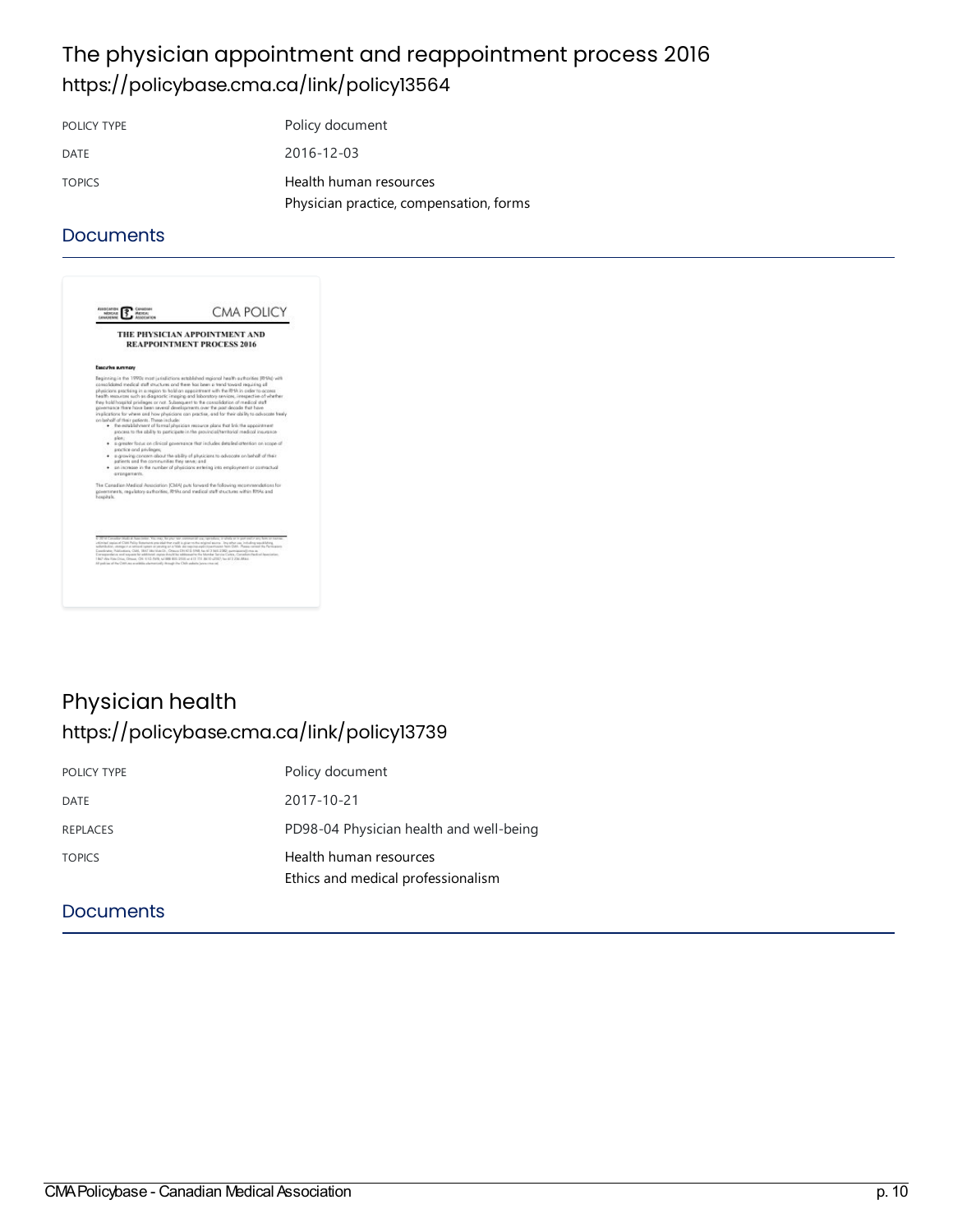### The physician appointment and reappointment process 2016 <https://policybase.cma.ca/link/policy13564>

POLICY TYPE Policy document DATE 2016-12-03 TOPICS Health human [resources](https://policybase.cma.ca/list?q=topic%253A%2522Health%20human%20resources%2522&p=1&ps=&sort=title_sort%20asc) Physician practice, compensation, forms

#### **Documents**

|                                                                                                                                                 | THE PHYSICIAN APPOINTMENT AND<br><b>REAPPOINTMENT PROCESS 2016</b>                                                                                                                                                                                                                                                                                                                                                                                                                                                                                                                                                                                                                                                                                                                                                                                                                                                                                                                                 |
|-------------------------------------------------------------------------------------------------------------------------------------------------|----------------------------------------------------------------------------------------------------------------------------------------------------------------------------------------------------------------------------------------------------------------------------------------------------------------------------------------------------------------------------------------------------------------------------------------------------------------------------------------------------------------------------------------------------------------------------------------------------------------------------------------------------------------------------------------------------------------------------------------------------------------------------------------------------------------------------------------------------------------------------------------------------------------------------------------------------------------------------------------------------|
|                                                                                                                                                 |                                                                                                                                                                                                                                                                                                                                                                                                                                                                                                                                                                                                                                                                                                                                                                                                                                                                                                                                                                                                    |
| Esscutive summary                                                                                                                               |                                                                                                                                                                                                                                                                                                                                                                                                                                                                                                                                                                                                                                                                                                                                                                                                                                                                                                                                                                                                    |
| on beholf of their petients. These include:<br>alon:<br>assetice and asyleges:<br>patients and the communities they serve; and<br>garangements. | to periodic meters form is reached from any any any flats lands based<br>physicians practising in a region to hald an appointment with the RHA in order to access<br>health resources such as diagnostic imaging and loboratory services, interpective of whether<br>they hold hospital privileges or not. Subsequent to the consolidation of medical staff<br>powernance there have been several developments over the past decade that have<br>implications for where and how physicians can practise, and for their ability to advocate treely<br>. the establishment of formal physician resource plans that link the appointment<br>expose to the ability to participate in the provincial/territorial medical insurance<br>· suggester focus on clinical powers ance that includes detailed attention on scope of<br>. a growing concern about the ability of physicians to advocate on behalf of their<br>. In increase in the number of physicians estering into employment or contractual |
| hospitals.                                                                                                                                      | The Canadian Medical Association (CMA) puts forward the following seconosydeticss for<br>povernments, regulatory guthorities. Rhiles and medical staff structures within Rhiles and                                                                                                                                                                                                                                                                                                                                                                                                                                                                                                                                                                                                                                                                                                                                                                                                                |
|                                                                                                                                                 |                                                                                                                                                                                                                                                                                                                                                                                                                                                                                                                                                                                                                                                                                                                                                                                                                                                                                                                                                                                                    |
|                                                                                                                                                 | estiminal segment CAM Public Entertainty precided that a sale is given railing adopted assets. This structure can be called to a second life and                                                                                                                                                                                                                                                                                                                                                                                                                                                                                                                                                                                                                                                                                                                                                                                                                                                   |
| 1 BA7 Alta Kida Driva, Omsaa, OH, 610, BA9, sal 886 800, 2555 at 413 735 8610-2007; San 67 236 Altani,                                          | solicitions, steeps in a serior lighter around give this ski replica approximation from DM. Plass center the Permanent<br>Constrator Publications, CMA, 1847 Mar Vues CA, Cheang CA (C D 1948, No. 6) 2 (64) 2260 permissional/crea as<br>Dereigienhow and superior for additional mates doubl for inhimitative the Monday Sarvis Cartes, Carnelian Handred Ignosiation.                                                                                                                                                                                                                                                                                                                                                                                                                                                                                                                                                                                                                           |

### Physician health <https://policybase.cma.ca/link/policy13739>

| POLICY TYPE   | Policy document                                              |
|---------------|--------------------------------------------------------------|
| DATE          | 2017-10-21                                                   |
| REPLACES      | PD98-04 Physician health and well-being                      |
| <b>TOPICS</b> | Health human resources<br>Ethics and medical professionalism |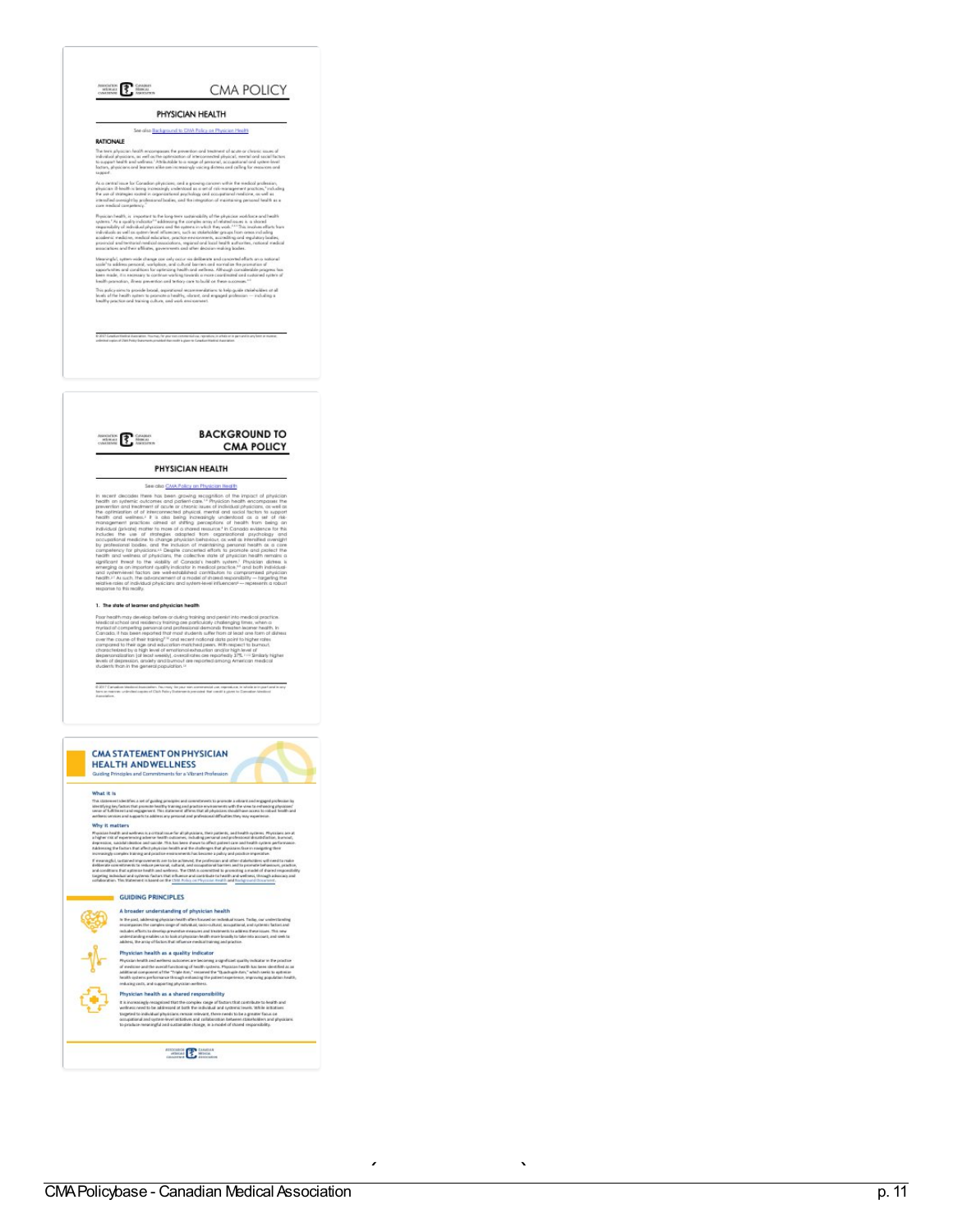

**CMA POLICY** 

PHYSICIAN HEALTH

See also liackground to CWA Policy on Physician Mealth

**RATIONALE** 

**Pre trace are all products** in the component the prevention and treatment of acate or climatic issues of<br>The term afgracians, on entit out the opinioation of interconnected physical, memal ond social facts<br>to appear thei

 $\label{eq:decomp} As a general case for Cormblon, a particular, and a group can come with the model problem in, physical and local in time is not a nontrivial, the nontrivial, a particular solution is a set of other nontrivial, and a particular solution of a nontrivial condition, and the inequality are not a nontrivial and a set of the nontrivial condition, and the inequality are anisotically a set.$ 

can be<br>adding a reported to the long-term undercolling of the physicial modula<br>can achieve a control of the distribution of the complete area of the<br>linking of independent  $\mathcal{C}^{(1)}$  and the complete and<br> $\mathcal{C}^{(2)}$  an

, system-solin shange case only cocor sin deliberate and concorred efficies and consistent of the procedure and container the procedure and conditions for optimizing bench contained and conditions for explanating bench co This policy electric provide boost, aspirational recommendations to help goids trainfinition at a<br>levels of the health system to promote a healthy, whence, and required profession — including a<br>bealthy practice and traini

.<br>O 2017 Constantiados das senso frances, for por con consensários, repostos, la etaba e la per estila en forma m<br>Jointos aplo al DMA Policy Services, product de costa a gluca a Constantialistic Augustos.



**BACKGROUND TO CMA POLICY** 

#### PHYSICIAN HEALTH

See olso CMA Policy on Physician Health In exact decodes the constraints and constraints of the second state of the state of the state of the state of the state of the state of the state of the state of the state of the state of the state of the state of the st

1. The state of learner and physician health

1. The shall of Hammer end physician Medi<br>Physician (Approximation and physician characteristic product product a<br>respectively. The control of the state of the state of the state<br>of the state of the control of the state o

0-2017 Cartasium Mediani/Asanzialery Paymay (ex paur non communed yas, represtives, in schola arizopart and in any<br>Jerm or menom schimisticapies of CMA Palay Statemen's pervisied that could a given to Comalian Mediani



 $\label{prop:optimal} The problem is a linearly independent property for the first is a nontrivial property. The problem is a linearly equivalent to the first is a linearly independent of the first is a linearly independent of the first is a linearly independent of the first is a linearly independent. The problem is a linearly independent of the first is a linearly independent of the first is a linearly independent of the first is a linearly independent. The problem is a nontrivial inequality, is a nontrivial inequality for a linearly independent, the problem is a linearly independent. The problem is a linearly independent of the first is a linearly independent. The problem is a linearly independent of the first is a linearly independent. The problem is a linearly independent of the first is a linearly independent. The problem is a linearly independent of the first is a linearly independent. The problem is a linearly independent of the first is a linearly independent. The problem is a linearly independent of the first is a linear$ 

 $\fbox{\begin{minipage}{1.5cm}p{0.5cm} \put(0,0){\vector(0,1){1.5cm}} \put(1,0){\vector(0,1){1.5cm}} \put(1,0){\vector(0,1){1.5cm}} \put(1,0){\vector(0,1){1.5cm}} \put(1,0){\vector(0,1){1.5cm}} \put(1,0){\vector(0,1){1.5cm}} \put(1,0){\vector(0,1){1.5cm}} \put(1,0){\vector(0,1){1.5cm}} \put(1,0){\vector(0,1){1.5cm}} \put(1,0){\vector(0,1){1.5cm}} \put(1,0){\vector$ 

 $\frac{1}{\sqrt{1-\frac{1}{2}}}$ u p d ate d 2  $\frac{1}{\sqrt{1-\frac{1}{2}}}$  $\ddot{\phantom{0}}$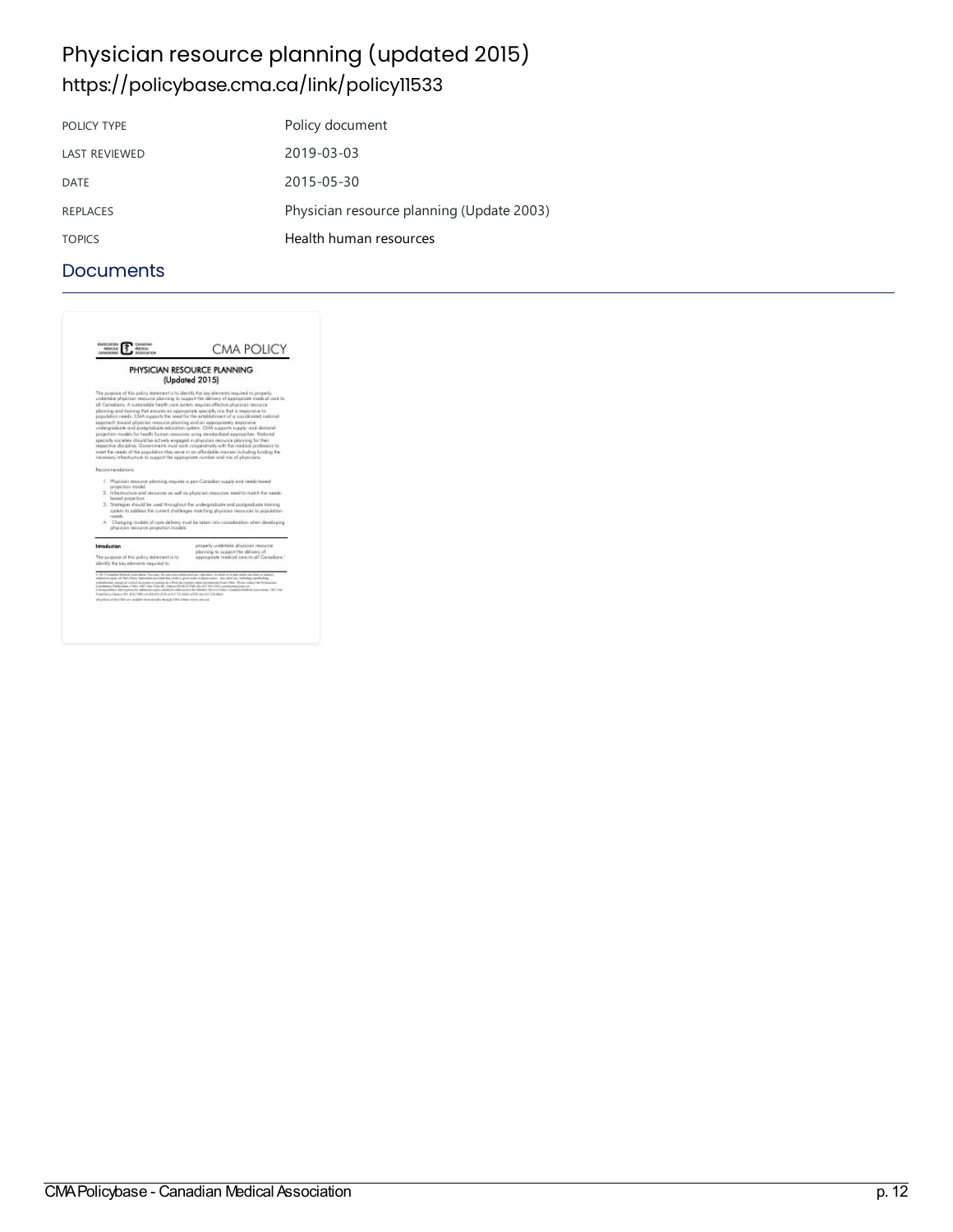### Physician resource planning (updated 2015) <https://policybase.cma.ca/link/policy11533>

| POLICY TYPE          | Policy document                           |
|----------------------|-------------------------------------------|
| <b>LAST REVIEWED</b> | 2019-03-03                                |
| <b>DATE</b>          | 2015-05-30                                |
| <b>REPLACES</b>      | Physician resource planning (Update 2003) |
| <b>TOPICS</b>        | Health human resources                    |

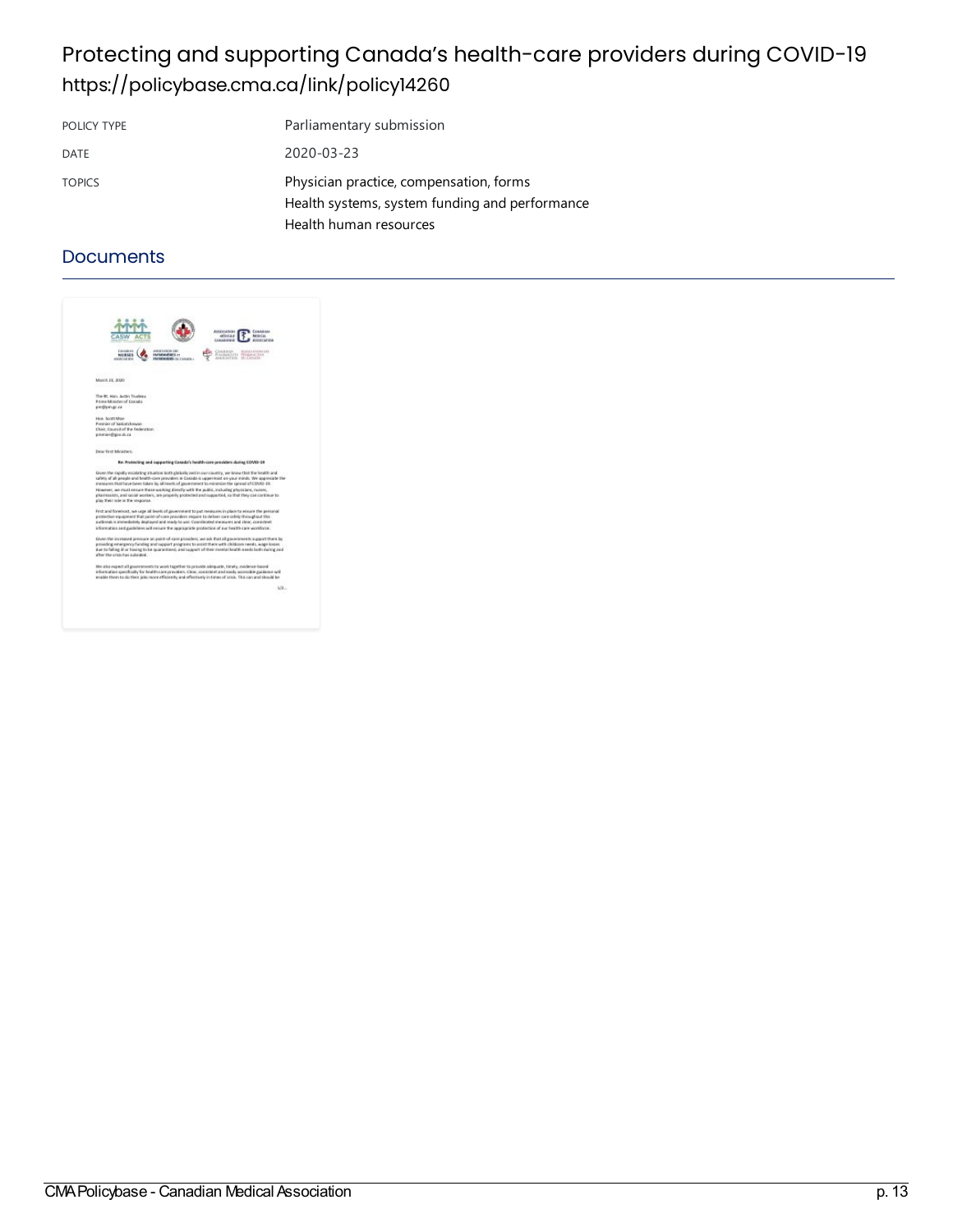### Protecting and supporting Canada's health-care providers during COVID-19 <https://policybase.cma.ca/link/policy14260>

| POLICY TYPE   | Parliamentary submission                                                                  |
|---------------|-------------------------------------------------------------------------------------------|
| DATE          | 2020-03-23                                                                                |
| <b>TOPICS</b> | Physician practice, compensation, forms<br>Health systems, system funding and performance |
|               | Health human resources                                                                    |

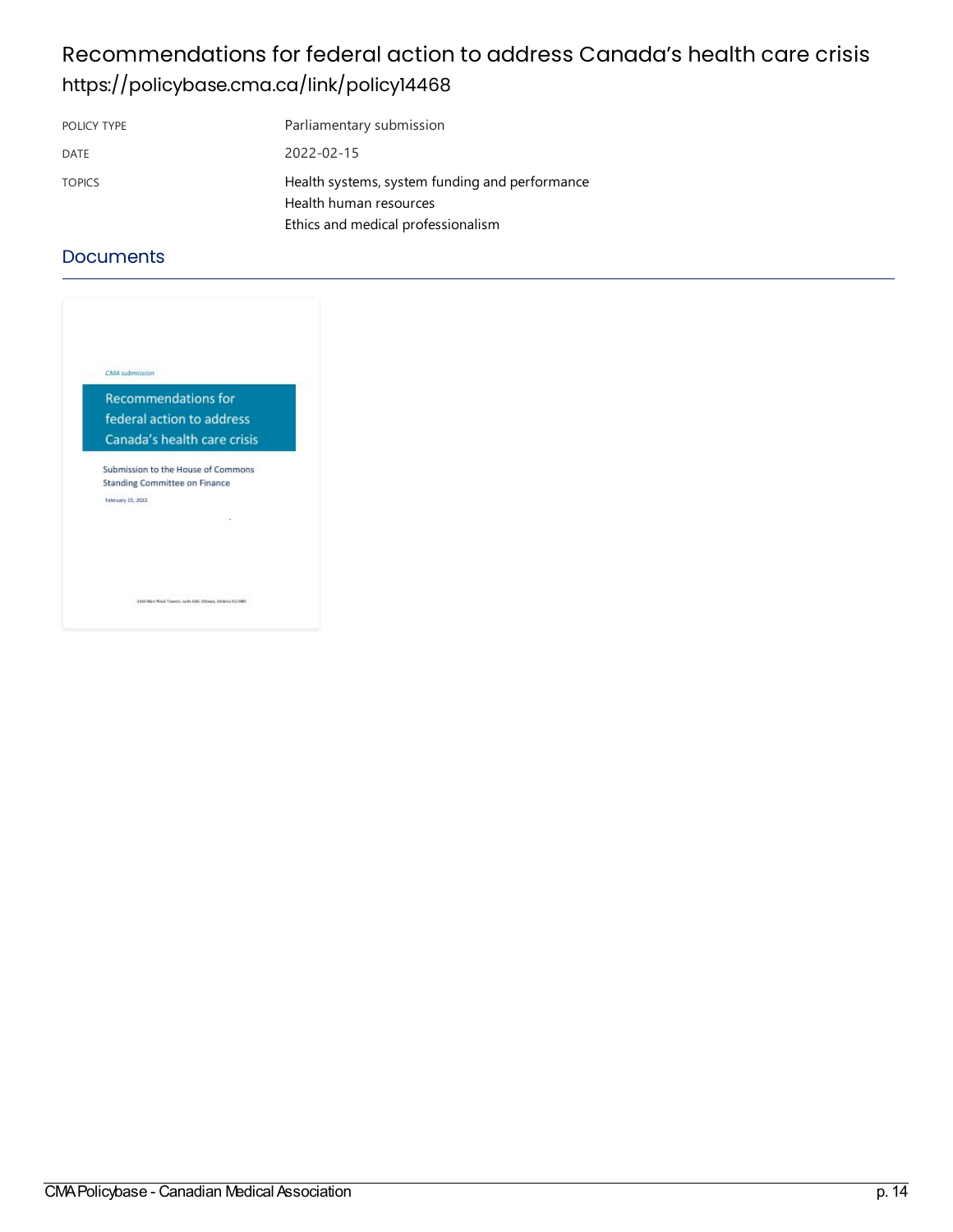### Recommendations for federal action to address Canada's health care crisis <https://policybase.cma.ca/link/policy14468>

| POLICY TYPE   | Parliamentary submission                                                                                       |
|---------------|----------------------------------------------------------------------------------------------------------------|
| <b>DATE</b>   | 2022-02-15                                                                                                     |
| <b>TOPICS</b> | Health systems, system funding and performance<br>Health human resources<br>Ethics and medical professionalism |

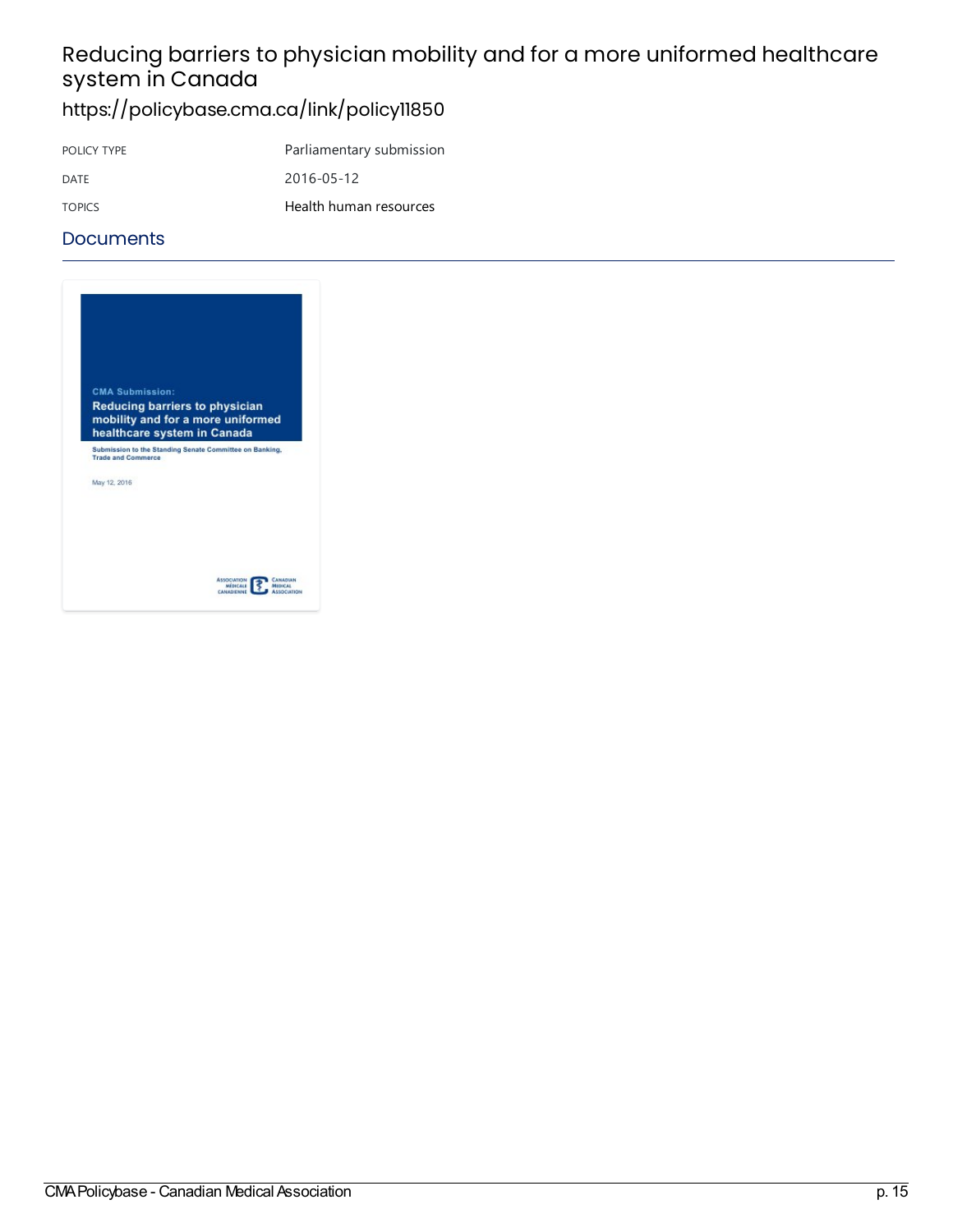# Reducing barriers to physician mobility and for a more uniformed healthcare system in Canada

### <https://policybase.cma.ca/link/policy11850>

POLICY TYPE Parliamentary submission DATE 2016-05-12 TOPICS Health human [resources](https://policybase.cma.ca/list?q=topic%253A%2522Health%20human%20resources%2522&p=1&ps=&sort=title_sort%20asc)

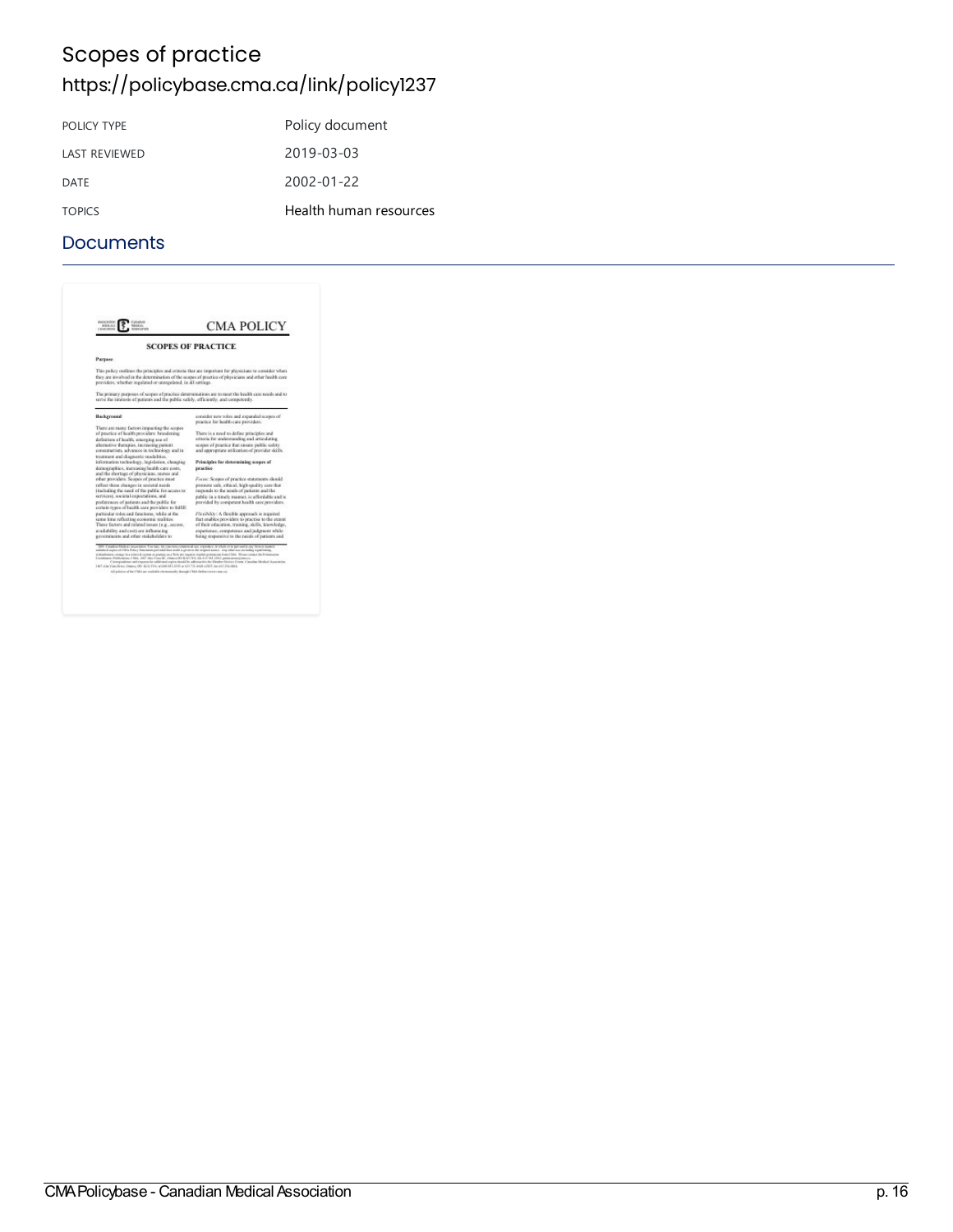### Scopes of practice <https://policybase.cma.ca/link/policy1237>

| POLICY TYPE          | Policy document        |
|----------------------|------------------------|
| <b>LAST REVIEWED</b> | 2019-03-03             |
| DATE                 | 2002-01-22             |
| <b>TOPICS</b>        | Health human resources |

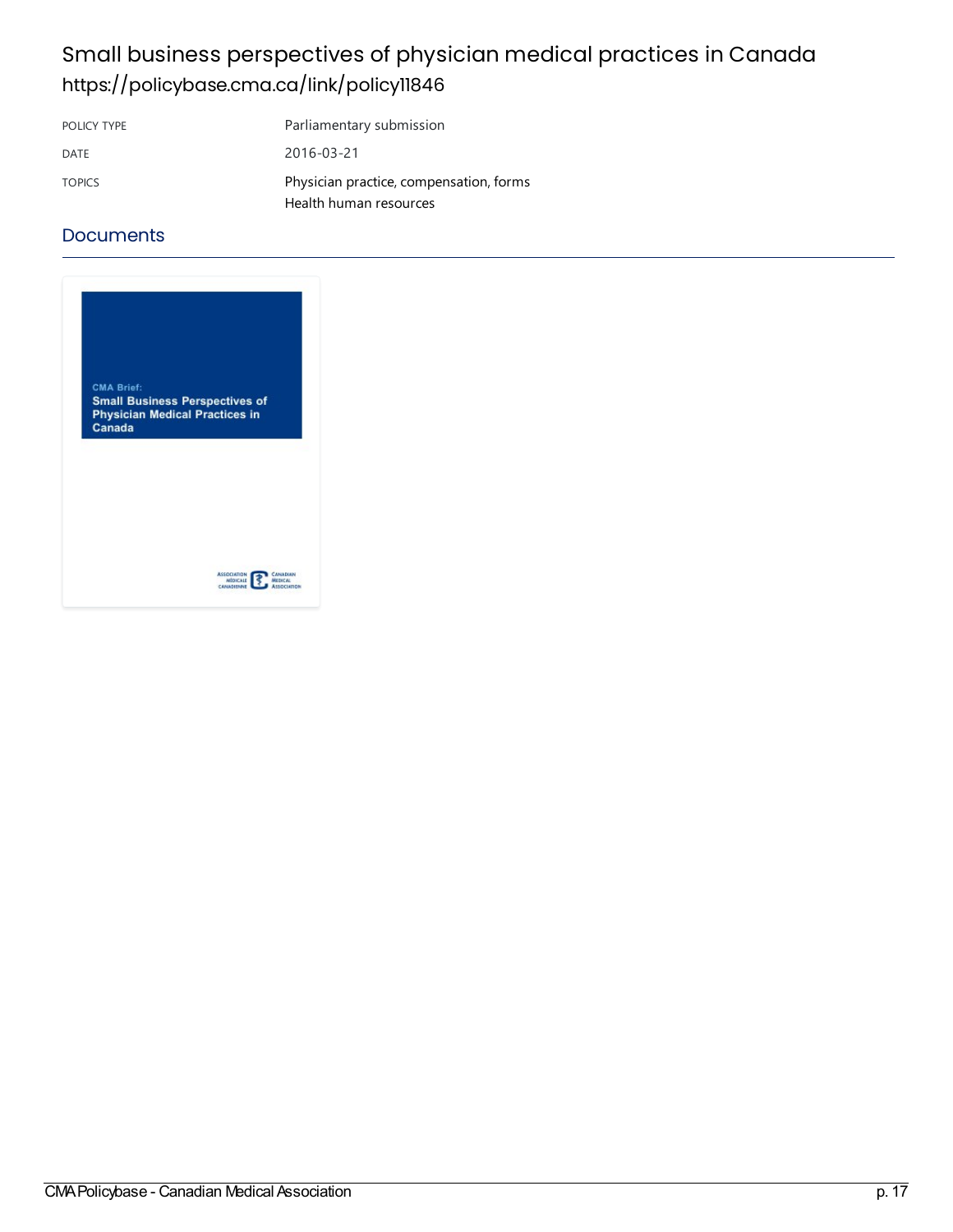### Small business perspectives of physician medical practices in Canada <https://policybase.cma.ca/link/policy11846>

| POLICY TYPE   | Parliamentary submission                |
|---------------|-----------------------------------------|
| DATE          | 2016-03-21                              |
| <b>TOPICS</b> | Physician practice, compensation, forms |
|               | Health human resources                  |

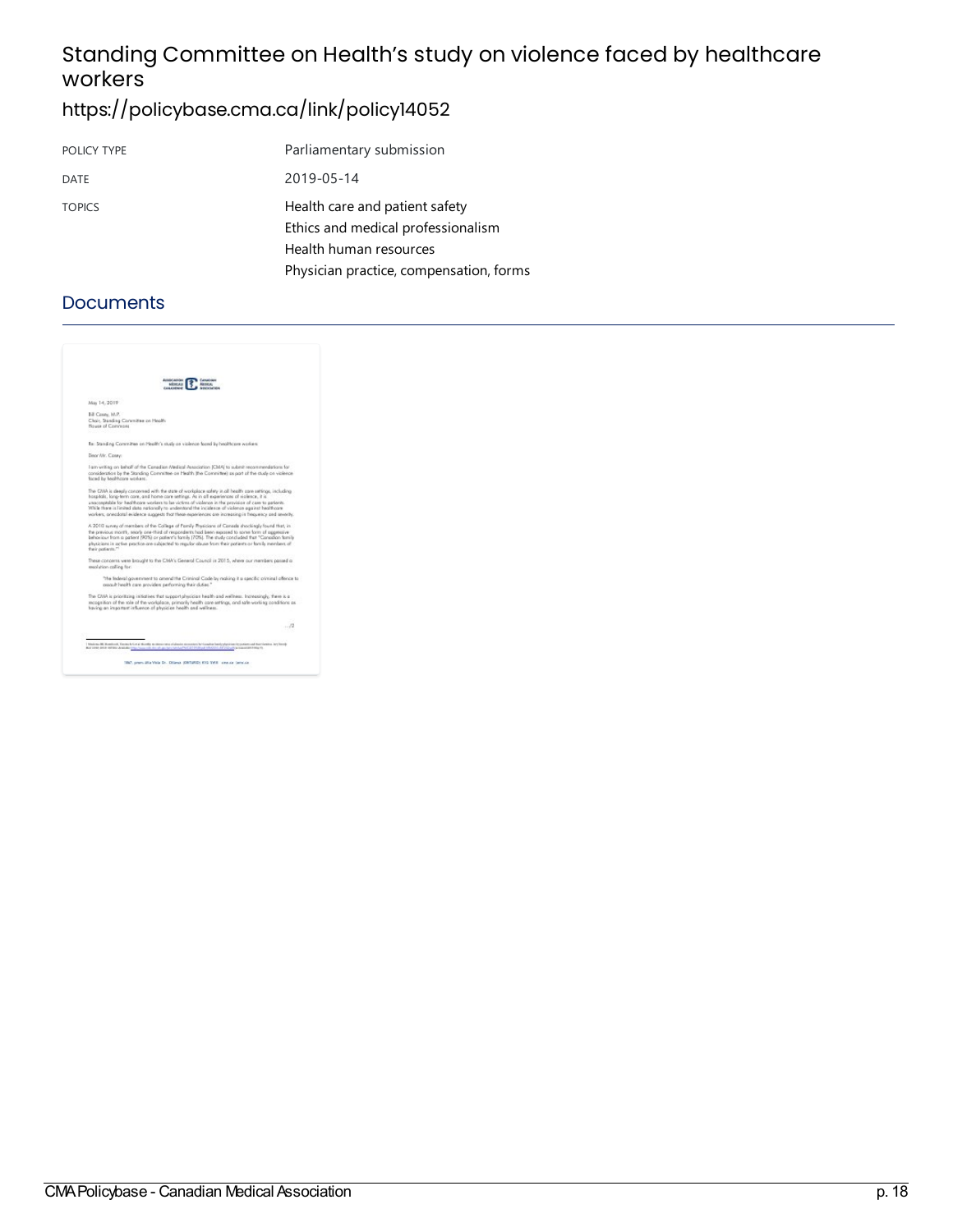### Standing Committee on Health's study on violence faced by healthcare workers

### <https://policybase.cma.ca/link/policy14052>

| POLICY TYPE   | Parliamentary submission                                             |
|---------------|----------------------------------------------------------------------|
| DATE          | 2019-05-14                                                           |
| <b>TOPICS</b> | Health care and patient safety<br>Ethics and medical professionalism |
|               | Health human resources                                               |
|               | Physician practice, compensation, forms                              |

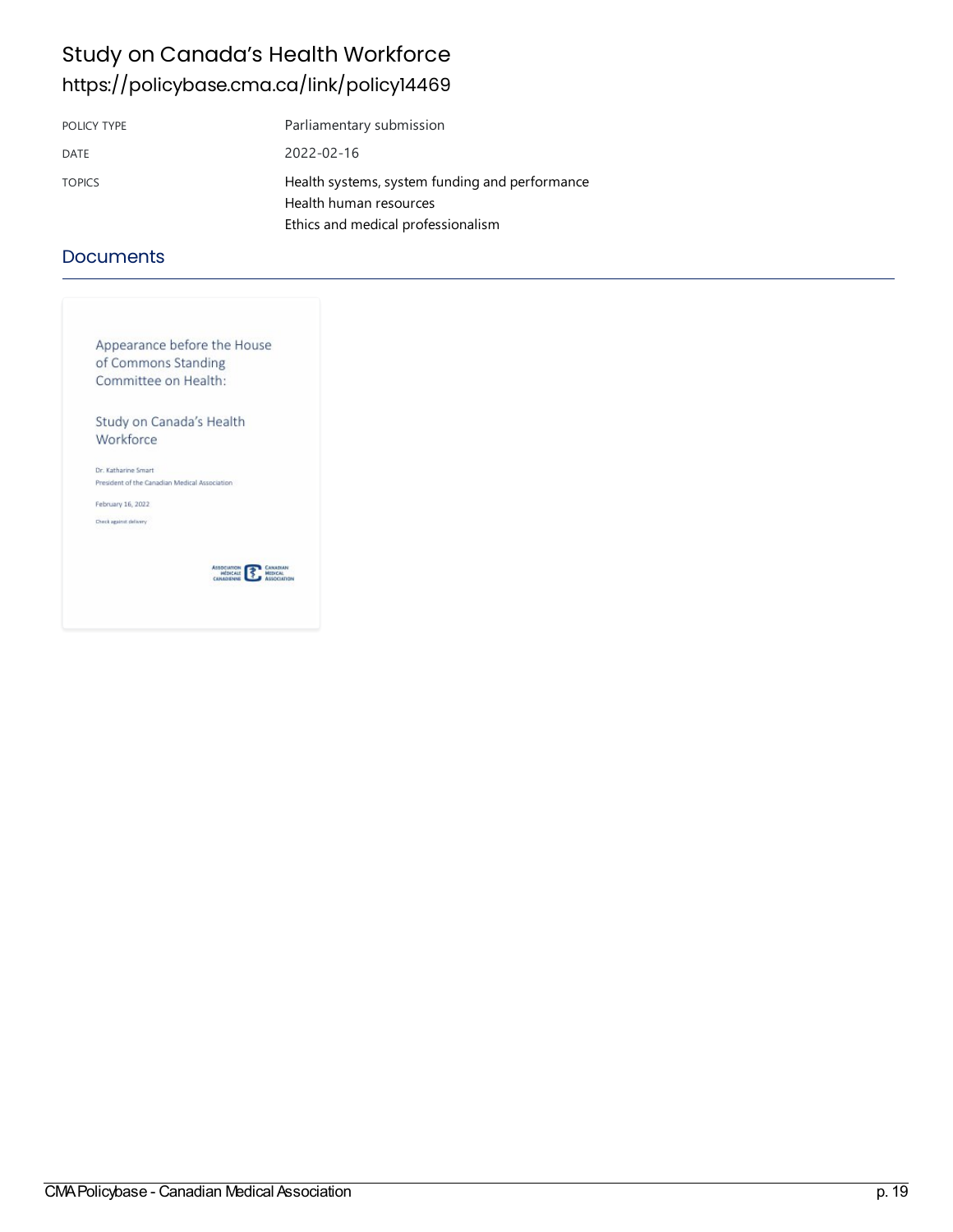### Study on Canada's Health Workforce <https://policybase.cma.ca/link/policy14469>

| POLICY TYPE   | Parliamentary submission                                                                                       |
|---------------|----------------------------------------------------------------------------------------------------------------|
| DATE          | 2022-02-16                                                                                                     |
| <b>TOPICS</b> | Health systems, system funding and performance<br>Health human resources<br>Ethics and medical professionalism |